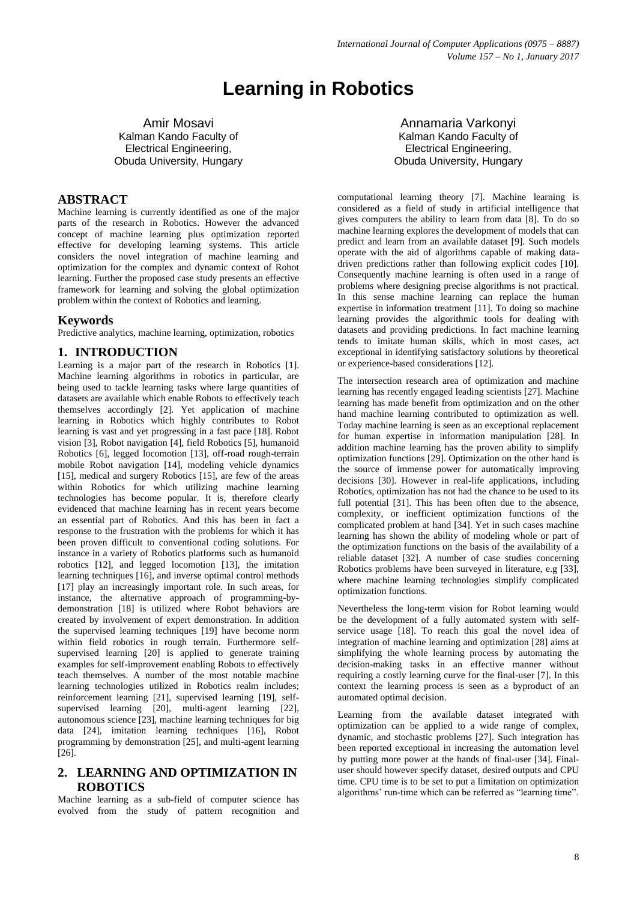# **Learning in Robotics**

Amir Mosavi Kalman Kando Faculty of Electrical Engineering, Obuda University, Hungary

# **ABSTRACT**

Machine learning is currently identified as one of the major parts of the research in Robotics. However the advanced concept of machine learning plus optimization reported effective for developing learning systems. This article considers the novel integration of machine learning and optimization for the complex and dynamic context of Robot learning. Further the proposed case study presents an effective framework for learning and solving the global optimization problem within the context of Robotics and learning.

#### **Keywords**

Predictive analytics, machine learning, optimization, robotics

## **1. INTRODUCTION**

Learning is a major part of the research in Robotics [1]. Machine learning algorithms in robotics in particular, are being used to tackle learning tasks where large quantities of datasets are available which enable Robots to effectively teach themselves accordingly [2]. Yet application of machine learning in Robotics which highly contributes to Robot learning is vast and yet progressing in a fast pace [18]. Robot vision [3], Robot navigation [4], field Robotics [5], humanoid Robotics [6], legged locomotion [13], off-road rough-terrain mobile Robot navigation [14], modeling vehicle dynamics [15], medical and surgery Robotics [15], are few of the areas within Robotics for which utilizing machine learning technologies has become popular. It is, therefore clearly evidenced that machine learning has in recent years become an essential part of Robotics. And this has been in fact a response to the frustration with the problems for which it has been proven difficult to conventional coding solutions. For instance in a variety of Robotics platforms such as humanoid robotics [12], and legged locomotion [13], the imitation learning techniques [16], and inverse optimal control methods [17] play an increasingly important role. In such areas, for instance, the alternative approach of programming-bydemonstration [18] is utilized where Robot behaviors are created by involvement of expert demonstration. In addition the supervised learning techniques [19] have become norm within field robotics in rough terrain. Furthermore selfsupervised learning [20] is applied to generate training examples for self-improvement enabling Robots to effectively teach themselves. A number of the most notable machine learning technologies utilized in Robotics realm includes; reinforcement learning [21], supervised learning [19], selfsupervised learning [20], multi-agent learning [22], autonomous science [23], machine learning techniques for big data [24], imitation learning techniques [16], Robot programming by demonstration [25], and multi-agent learning [26].

# **2. LEARNING AND OPTIMIZATION IN ROBOTICS**

Machine learning as a sub-field of computer science has evolved from the study of pattern recognition and

Annamaria Varkonyi Kalman Kando Faculty of Electrical Engineering, Obuda University, Hungary

computational learning theory [7]. Machine learning is considered as a field of study in artificial intelligence that gives computers the ability to learn from data [8]. To do so machine learning explores the development of models that can predict and learn from an available dataset [9]. Such models operate with the aid of algorithms capable of making datadriven predictions rather than following explicit codes [10]. Consequently machine learning is often used in a range of problems where designing precise algorithms is not practical. In this sense machine learning can replace the human expertise in information treatment [11]. To doing so machine learning provides the algorithmic tools for dealing with datasets and providing predictions. In fact machine learning tends to imitate human skills, which in most cases, act exceptional in identifying satisfactory solutions by theoretical or experience-based considerations [12].

The intersection research area of optimization and machine learning has recently engaged leading scientists [27]. Machine learning has made benefit from optimization and on the other hand machine learning contributed to optimization as well. Today machine learning is seen as an exceptional replacement for human expertise in information manipulation [28]. In addition machine learning has the proven ability to simplify optimization functions [29]. Optimization on the other hand is the source of immense power for automatically improving decisions [30]. However in real-life applications, including Robotics, optimization has not had the chance to be used to its full potential [31]. This has been often due to the absence, complexity, or inefficient optimization functions of the complicated problem at hand [34]. Yet in such cases machine learning has shown the ability of modeling whole or part of the optimization functions on the basis of the availability of a reliable dataset [32]. A number of case studies concerning Robotics problems have been surveyed in literature, e.g [33], where machine learning technologies simplify complicated optimization functions.

Nevertheless the long-term vision for Robot learning would be the development of a fully automated system with selfservice usage [18]. To reach this goal the novel idea of integration of machine learning and optimization [28] aims at simplifying the whole learning process by automating the decision-making tasks in an effective manner without requiring a costly learning curve for the final-user [7]. In this context the learning process is seen as a byproduct of an automated optimal decision.

Learning from the available dataset integrated with optimization can be applied to a wide range of complex, dynamic, and stochastic problems [27]. Such integration has been reported exceptional in increasing the automation level by putting more power at the hands of final-user [34]. Finaluser should however specify dataset, desired outputs and CPU time. CPU time is to be set to put a limitation on optimization algorithms' run-time which can be referred as "learning time".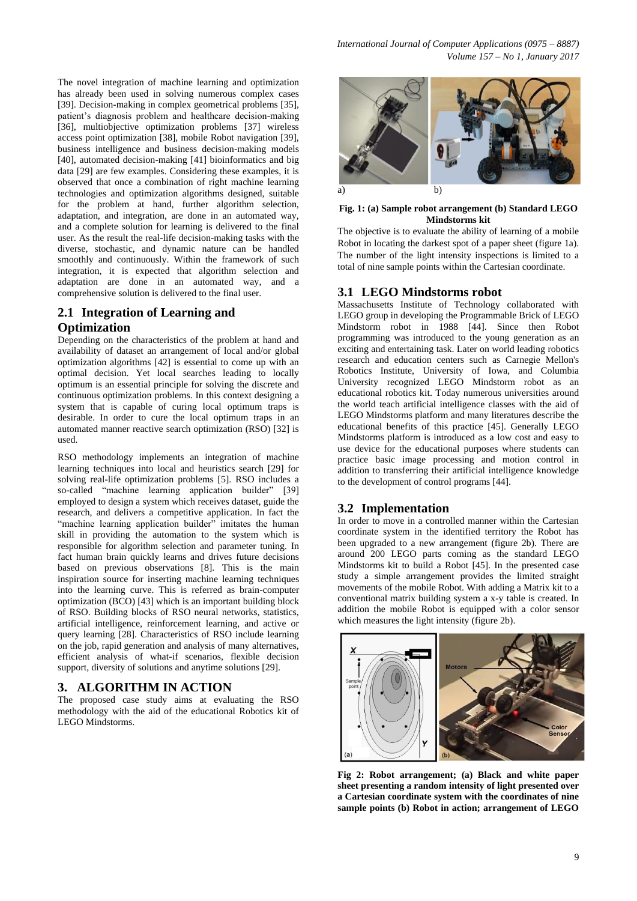The novel integration of machine learning and optimization has already been used in solving numerous complex cases [39]. Decision-making in complex geometrical problems [35], patient's diagnosis problem and healthcare decision-making [36], multiobjective optimization problems [37] wireless access point optimization [38], mobile Robot navigation [39], business intelligence and business decision-making models [40], automated decision-making [41] bioinformatics and big data [29] are few examples. Considering these examples, it is observed that once a combination of right machine learning technologies and optimization algorithms designed, suitable for the problem at hand, further algorithm selection, adaptation, and integration, are done in an automated way, and a complete solution for learning is delivered to the final user. As the result the real-life decision-making tasks with the diverse, stochastic, and dynamic nature can be handled smoothly and continuously. Within the framework of such integration, it is expected that algorithm selection and adaptation are done in an automated way, and a comprehensive solution is delivered to the final user.

# **2.1 Integration of Learning and Optimization**

Depending on the characteristics of the problem at hand and availability of dataset an arrangement of local and/or global optimization algorithms [42] is essential to come up with an optimal decision. Yet local searches leading to locally optimum is an essential principle for solving the discrete and continuous optimization problems. In this context designing a system that is capable of curing local optimum traps is desirable. In order to cure the local optimum traps in an automated manner reactive search optimization (RSO) [32] is used.

RSO methodology implements an integration of machine learning techniques into local and heuristics search [29] for solving real-life optimization problems [5]. RSO includes a so-called "machine learning application builder" [39] employed to design a system which receives dataset, guide the research, and delivers a competitive application. In fact the "machine learning application builder" imitates the human skill in providing the automation to the system which is responsible for algorithm selection and parameter tuning. In fact human brain quickly learns and drives future decisions based on previous observations [8]. This is the main inspiration source for inserting machine learning techniques into the learning curve. This is referred as brain-computer optimization (BCO) [43] which is an important building block of RSO. Building blocks of RSO neural networks, statistics, artificial intelligence, reinforcement learning, and active or query learning [28]. Characteristics of RSO include learning on the job, rapid generation and analysis of many alternatives, efficient analysis of what-if scenarios, flexible decision support, diversity of solutions and anytime solutions [29].

# **3. ALGORITHM IN ACTION**

The proposed case study aims at evaluating the RSO methodology with the aid of the educational Robotics kit of LEGO Mindstorms.



#### **Fig. 1: (a) Sample robot arrangement (b) Standard LEGO Mindstorms kit**

The objective is to evaluate the ability of learning of a mobile Robot in locating the darkest spot of a paper sheet (figure 1a). The number of the light intensity inspections is limited to a total of nine sample points within the Cartesian coordinate.

## **3.1 LEGO Mindstorms robot**

Massachusetts Institute of Technology collaborated with LEGO group in developing the Programmable Brick of LEGO Mindstorm robot in 1988 [44]. Since then Robot programming was introduced to the young generation as an exciting and entertaining task. Later on world leading robotics research and education centers such as Carnegie Mellon's Robotics Institute, University of Iowa, and Columbia University recognized LEGO Mindstorm robot as an educational robotics kit. Today numerous universities around the world teach artificial intelligence classes with the aid of LEGO Mindstorms platform and many literatures describe the educational benefits of this practice [45]. Generally LEGO Mindstorms platform is introduced as a low cost and easy to use device for the educational purposes where students can practice basic image processing and motion control in addition to transferring their artificial intelligence knowledge to the development of control programs [44].

# **3.2 Implementation**

In order to move in a controlled manner within the Cartesian coordinate system in the identified territory the Robot has been upgraded to a new arrangement (figure 2b). There are around 200 LEGO parts coming as the standard LEGO Mindstorms kit to build a Robot [45]. In the presented case study a simple arrangement provides the limited straight movements of the mobile Robot. With adding a Matrix kit to a conventional matrix building system a x-y table is created. In addition the mobile Robot is equipped with a color sensor which measures the light intensity (figure 2b).



**Fig 2: Robot arrangement; (a) Black and white paper sheet presenting a random intensity of light presented over a Cartesian coordinate system with the coordinates of nine sample points (b) Robot in action; arrangement of LEGO**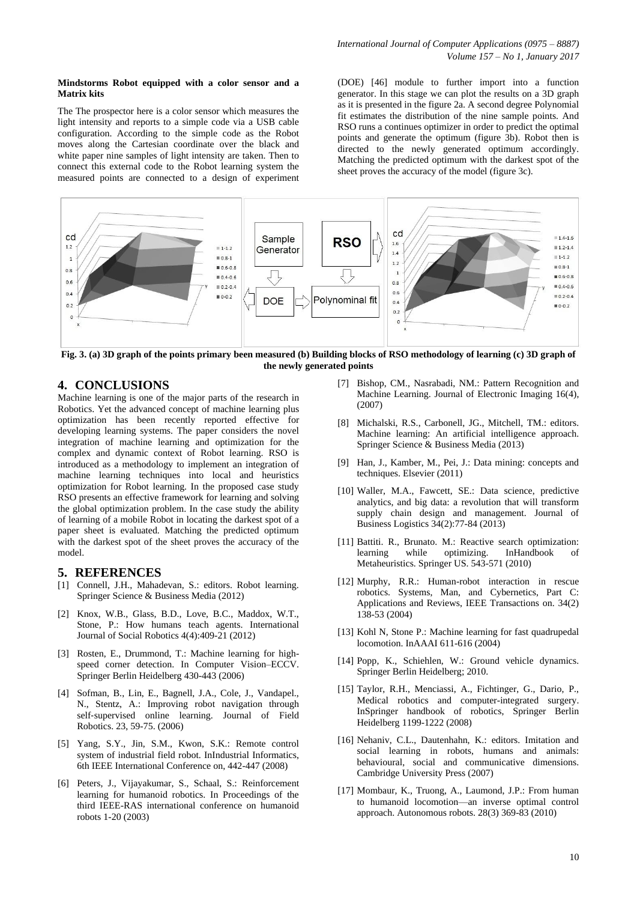#### **Mindstorms Robot equipped with a color sensor and a Matrix kits**

The The prospector here is a color sensor which measures the light intensity and reports to a simple code via a USB cable configuration. According to the simple code as the Robot moves along the Cartesian coordinate over the black and white paper nine samples of light intensity are taken. Then to connect this external code to the Robot learning system the measured points are connected to a design of experiment (DOE) [46] module to further import into a function generator. In this stage we can plot the results on a 3D graph as it is presented in the figure 2a. A second degree Polynomial fit estimates the distribution of the nine sample points. And RSO runs a continues optimizer in order to predict the optimal points and generate the optimum (figure 3b). Robot then is directed to the newly generated optimum accordingly. Matching the predicted optimum with the darkest spot of the sheet proves the accuracy of the model (figure 3c).



**Fig. 3. (a) 3D graph of the points primary been measured (b) Building blocks of RSO methodology of learning (c) 3D graph of the newly generated points**

# **4. CONCLUSIONS**

Machine learning is one of the major parts of the research in Robotics. Yet the advanced concept of machine learning plus optimization has been recently reported effective for developing learning systems. The paper considers the novel integration of machine learning and optimization for the complex and dynamic context of Robot learning. RSO is introduced as a methodology to implement an integration of machine learning techniques into local and heuristics optimization for Robot learning. In the proposed case study RSO presents an effective framework for learning and solving the global optimization problem. In the case study the ability of learning of a mobile Robot in locating the darkest spot of a paper sheet is evaluated. Matching the predicted optimum with the darkest spot of the sheet proves the accuracy of the model.

## **5. REFERENCES**

- [1] Connell, J.H., Mahadevan, S.: editors. Robot learning. Springer Science & Business Media (2012)
- [2] Knox, W.B., Glass, B.D., Love, B.C., Maddox, W.T., Stone, P.: How humans teach agents. International Journal of Social Robotics 4(4):409-21 (2012)
- [3] Rosten, E., Drummond, T.: Machine learning for highspeed corner detection. In Computer Vision–ECCV. Springer Berlin Heidelberg 430-443 (2006)
- [4] Sofman, B., Lin, E., Bagnell, J.A., Cole, J., Vandapel., N., Stentz, A.: Improving robot navigation through self‐supervised online learning. Journal of Field Robotics. 23, 59-75. (2006)
- [5] Yang, S.Y., Jin, S.M., Kwon, S.K.: Remote control system of industrial field robot. InIndustrial Informatics, 6th IEEE International Conference on, 442-447 (2008)
- [6] Peters, J., Vijayakumar, S., Schaal, S.: Reinforcement learning for humanoid robotics. In Proceedings of the third IEEE-RAS international conference on humanoid robots 1-20 (2003)
- [7] Bishop, CM., Nasrabadi, NM.: Pattern Recognition and Machine Learning. Journal of Electronic Imaging 16(4), (2007)
- [8] Michalski, R.S., Carbonell, JG., Mitchell, TM.: editors. Machine learning: An artificial intelligence approach. Springer Science & Business Media (2013)
- [9] Han, J., Kamber, M., Pei, J.: Data mining: concepts and techniques. Elsevier (2011)
- [10] Waller, M.A., Fawcett, SE.: Data science, predictive analytics, and big data: a revolution that will transform supply chain design and management. Journal of Business Logistics 34(2):77-84 (2013)
- [11] Battiti. R., Brunato. M.: Reactive search optimization: learning while optimizing. InHandbook Metaheuristics. Springer US. 543-571 (2010)
- [12] Murphy, R.R.: Human-robot interaction in rescue robotics. Systems, Man, and Cybernetics, Part C: Applications and Reviews, IEEE Transactions on. 34(2) 138-53 (2004)
- [13] Kohl N, Stone P.: Machine learning for fast quadrupedal locomotion. InAAAI 611-616 (2004)
- [14] Popp, K., Schiehlen, W.: Ground vehicle dynamics. Springer Berlin Heidelberg; 2010.
- [15] Taylor, R.H., Menciassi, A., Fichtinger, G., Dario, P., Medical robotics and computer-integrated surgery. InSpringer handbook of robotics, Springer Berlin Heidelberg 1199-1222 (2008)
- [16] Nehaniv, C.L., Dautenhahn, K.: editors. Imitation and social learning in robots, humans and animals: behavioural, social and communicative dimensions. Cambridge University Press (2007)
- [17] Mombaur, K., Truong, A., Laumond, J.P.: From human to humanoid locomotion—an inverse optimal control approach. Autonomous robots. 28(3) 369-83 (2010)